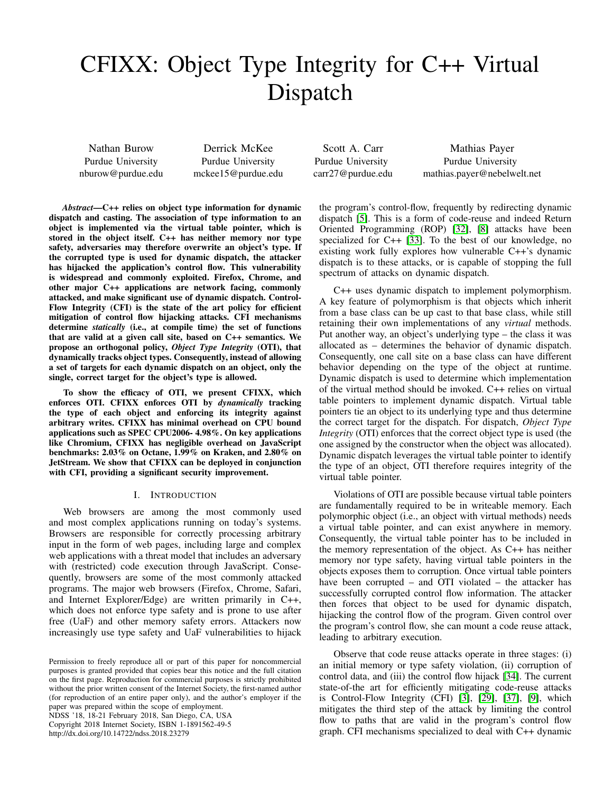# CFIXX: Object Type Integrity for C++ Virtual Dispatch

Nathan Burow Purdue University nburow@purdue.edu

Derrick McKee Purdue University mckee15@purdue.edu

*Abstract*—C++ relies on object type information for dynamic dispatch and casting. The association of type information to an object is implemented via the virtual table pointer, which is stored in the object itself. C++ has neither memory nor type safety, adversaries may therefore overwrite an object's type. If the corrupted type is used for dynamic dispatch, the attacker has hijacked the application's control flow. This vulnerability is widespread and commonly exploited. Firefox, Chrome, and other major C++ applications are network facing, commonly attacked, and make significant use of dynamic dispatch. Control-Flow Integrity (CFI) is the state of the art policy for efficient mitigation of control flow hijacking attacks. CFI mechanisms determine *statically* (i.e., at compile time) the set of functions that are valid at a given call site, based on C++ semantics. We propose an orthogonal policy, *Object Type Integrity* (OTI), that dynamically tracks object types. Consequently, instead of allowing a set of targets for each dynamic dispatch on an object, only the single, correct target for the object's type is allowed.

To show the efficacy of OTI, we present CFIXX, which enforces OTI. CFIXX enforces OTI by *dynamically* tracking the type of each object and enforcing its integrity against arbitrary writes. CFIXX has minimal overhead on CPU bound applications such as SPEC CPU2006- 4.98%. On key applications like Chromium, CFIXX has negligible overhead on JavaScript benchmarks: 2.03% on Octane, 1.99% on Kraken, and 2.80% on JetStream. We show that CFIXX can be deployed in conjunction with CFI, providing a significant security improvement.

## I. INTRODUCTION

Web browsers are among the most commonly used and most complex applications running on today's systems. Browsers are responsible for correctly processing arbitrary input in the form of web pages, including large and complex web applications with a threat model that includes an adversary with (restricted) code execution through JavaScript. Consequently, browsers are some of the most commonly attacked programs. The major web browsers (Firefox, Chrome, Safari, and Internet Explorer/Edge) are written primarily in C++, which does not enforce type safety and is prone to use after free (UaF) and other memory safety errors. Attackers now increasingly use type safety and UaF vulnerabilities to hijack

NDSS '18, 18-21 February 2018, San Diego, CA, USA Copyright 2018 Internet Society, ISBN 1-1891562-49-5 http://dx.doi.org/10.14722/ndss.2018.23279

Scott A. Carr Purdue University carr27@purdue.edu

Mathias Payer Purdue University mathias.payer@nebelwelt.net

the program's control-flow, frequently by redirecting dynamic dispatch [\[5\]](#page-12-0). This is a form of code-reuse and indeed Return Oriented Programming (ROP) [\[32\]](#page-13-0), [\[8\]](#page-12-1) attacks have been specialized for C++ [\[33\]](#page-13-1). To the best of our knowledge, no existing work fully explores how vulnerable C++'s dynamic dispatch is to these attacks, or is capable of stopping the full spectrum of attacks on dynamic dispatch.

C++ uses dynamic dispatch to implement polymorphism. A key feature of polymorphism is that objects which inherit from a base class can be up cast to that base class, while still retaining their own implementations of any *virtual* methods. Put another way, an object's underlying type – the class it was allocated as – determines the behavior of dynamic dispatch. Consequently, one call site on a base class can have different behavior depending on the type of the object at runtime. Dynamic dispatch is used to determine which implementation of the virtual method should be invoked. C++ relies on virtual table pointers to implement dynamic dispatch. Virtual table pointers tie an object to its underlying type and thus determine the correct target for the dispatch. For dispatch, *Object Type Integrity* (OTI) enforces that the correct object type is used (the one assigned by the constructor when the object was allocated). Dynamic dispatch leverages the virtual table pointer to identify the type of an object, OTI therefore requires integrity of the virtual table pointer.

Violations of OTI are possible because virtual table pointers are fundamentally required to be in writeable memory. Each polymorphic object (i.e., an object with virtual methods) needs a virtual table pointer, and can exist anywhere in memory. Consequently, the virtual table pointer has to be included in the memory representation of the object. As C++ has neither memory nor type safety, having virtual table pointers in the objects exposes them to corruption. Once virtual table pointers have been corrupted – and OTI violated – the attacker has successfully corrupted control flow information. The attacker then forces that object to be used for dynamic dispatch, hijacking the control flow of the program. Given control over the program's control flow, she can mount a code reuse attack, leading to arbitrary execution.

Observe that code reuse attacks operate in three stages: (i) an initial memory or type safety violation, (ii) corruption of control data, and (iii) the control flow hijack [\[34\]](#page-13-2). The current state-of-the art for efficiently mitigating code-reuse attacks is Control-Flow Integrity (CFI) [\[3\]](#page-12-2), [\[29\]](#page-13-3), [\[37\]](#page-13-4), [\[9\]](#page-12-3), which mitigates the third step of the attack by limiting the control flow to paths that are valid in the program's control flow graph. CFI mechanisms specialized to deal with C++ dynamic

Permission to freely reproduce all or part of this paper for noncommercial purposes is granted provided that copies bear this notice and the full citation on the first page. Reproduction for commercial purposes is strictly prohibited without the prior written consent of the Internet Society, the first-named author (for reproduction of an entire paper only), and the author's employer if the paper was prepared within the scope of employment.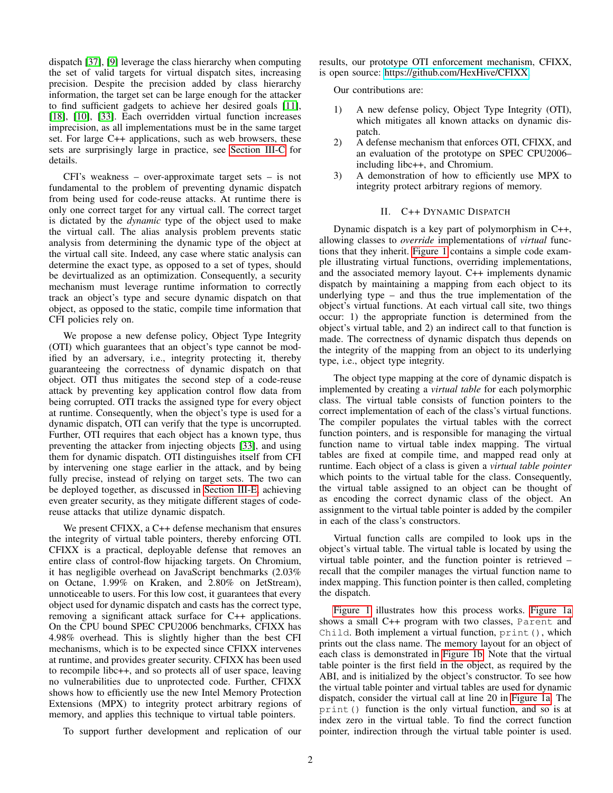dispatch [\[37\]](#page-13-4), [\[9\]](#page-12-3) leverage the class hierarchy when computing the set of valid targets for virtual dispatch sites, increasing precision. Despite the precision added by class hierarchy information, the target set can be large enough for the attacker to find sufficient gadgets to achieve her desired goals [\[11\]](#page-12-4), [\[18\]](#page-13-5), [\[10\]](#page-12-5), [\[33\]](#page-13-1). Each overridden virtual function increases imprecision, as all implementations must be in the same target set. For large C++ applications, such as web browsers, these sets are surprisingly large in practice, see [Section III-C](#page-3-0) for details.

CFI's weakness – over-approximate target sets – is not fundamental to the problem of preventing dynamic dispatch from being used for code-reuse attacks. At runtime there is only one correct target for any virtual call. The correct target is dictated by the *dynamic* type of the object used to make the virtual call. The alias analysis problem prevents static analysis from determining the dynamic type of the object at the virtual call site. Indeed, any case where static analysis can determine the exact type, as opposed to a set of types, should be devirtualized as an optimization. Consequently, a security mechanism must leverage runtime information to correctly track an object's type and secure dynamic dispatch on that object, as opposed to the static, compile time information that CFI policies rely on.

We propose a new defense policy, Object Type Integrity (OTI) which guarantees that an object's type cannot be modified by an adversary, i.e., integrity protecting it, thereby guaranteeing the correctness of dynamic dispatch on that object. OTI thus mitigates the second step of a code-reuse attack by preventing key application control flow data from being corrupted. OTI tracks the assigned type for every object at runtime. Consequently, when the object's type is used for a dynamic dispatch, OTI can verify that the type is uncorrupted. Further, OTI requires that each object has a known type, thus preventing the attacker from injecting objects [\[33\]](#page-13-1), and using them for dynamic dispatch. OTI distinguishes itself from CFI by intervening one stage earlier in the attack, and by being fully precise, instead of relying on target sets. The two can be deployed together, as discussed in [Section III-E,](#page-4-0) achieving even greater security, as they mitigate different stages of codereuse attacks that utilize dynamic dispatch.

We present CFIXX, a C<sup>++</sup> defense mechanism that ensures the integrity of virtual table pointers, thereby enforcing OTI. CFIXX is a practical, deployable defense that removes an entire class of control-flow hijacking targets. On Chromium, it has negligible overhead on JavaScript benchmarks (2.03% on Octane, 1.99% on Kraken, and 2.80% on JetStream), unnoticeable to users. For this low cost, it guarantees that every object used for dynamic dispatch and casts has the correct type, removing a significant attack surface for C++ applications. On the CPU bound SPEC CPU2006 benchmarks, CFIXX has 4.98% overhead. This is slightly higher than the best CFI mechanisms, which is to be expected since CFIXX intervenes at runtime, and provides greater security. CFIXX has been used to recompile libc++, and so protects all of user space, leaving no vulnerabilities due to unprotected code. Further, CFIXX shows how to efficiently use the new Intel Memory Protection Extensions (MPX) to integrity protect arbitrary regions of memory, and applies this technique to virtual table pointers.

To support further development and replication of our

results, our prototype OTI enforcement mechanism, CFIXX, is open source: [https://github.com/HexHive/CFIXX.](https://github.com/HexHive/CFIXX)

Our contributions are:

- 1) A new defense policy, Object Type Integrity (OTI), which mitigates all known attacks on dynamic dispatch.
- 2) A defense mechanism that enforces OTI, CFIXX, and an evaluation of the prototype on SPEC CPU2006– including libc++, and Chromium.
- 3) A demonstration of how to efficiently use MPX to integrity protect arbitrary regions of memory.

# II. C++ DYNAMIC DISPATCH

<span id="page-1-0"></span>Dynamic dispatch is a key part of polymorphism in C++, allowing classes to *override* implementations of *virtual* functions that they inherit. [Figure 1](#page-2-0) contains a simple code example illustrating virtual functions, overriding implementations, and the associated memory layout. C++ implements dynamic dispatch by maintaining a mapping from each object to its underlying type – and thus the true implementation of the object's virtual functions. At each virtual call site, two things occur: 1) the appropriate function is determined from the object's virtual table, and 2) an indirect call to that function is made. The correctness of dynamic dispatch thus depends on the integrity of the mapping from an object to its underlying type, i.e., object type integrity.

The object type mapping at the core of dynamic dispatch is implemented by creating a *virtual table* for each polymorphic class. The virtual table consists of function pointers to the correct implementation of each of the class's virtual functions. The compiler populates the virtual tables with the correct function pointers, and is responsible for managing the virtual function name to virtual table index mapping. The virtual tables are fixed at compile time, and mapped read only at runtime. Each object of a class is given a *virtual table pointer* which points to the virtual table for the class. Consequently, the virtual table assigned to an object can be thought of as encoding the correct dynamic class of the object. An assignment to the virtual table pointer is added by the compiler in each of the class's constructors.

Virtual function calls are compiled to look ups in the object's virtual table. The virtual table is located by using the virtual table pointer, and the function pointer is retrieved – recall that the compiler manages the virtual function name to index mapping. This function pointer is then called, completing the dispatch.

[Figure 1](#page-2-0) illustrates how this process works. [Figure 1a](#page-2-1) shows a small C++ program with two classes, Parent and Child. Both implement a virtual function, print(), which prints out the class name. The memory layout for an object of each class is demonstrated in [Figure 1b.](#page-2-2) Note that the virtual table pointer is the first field in the object, as required by the ABI, and is initialized by the object's constructor. To see how the virtual table pointer and virtual tables are used for dynamic dispatch, consider the virtual call at line 20 in [Figure 1a.](#page-2-1) The print() function is the only virtual function, and so is at index zero in the virtual table. To find the correct function pointer, indirection through the virtual table pointer is used.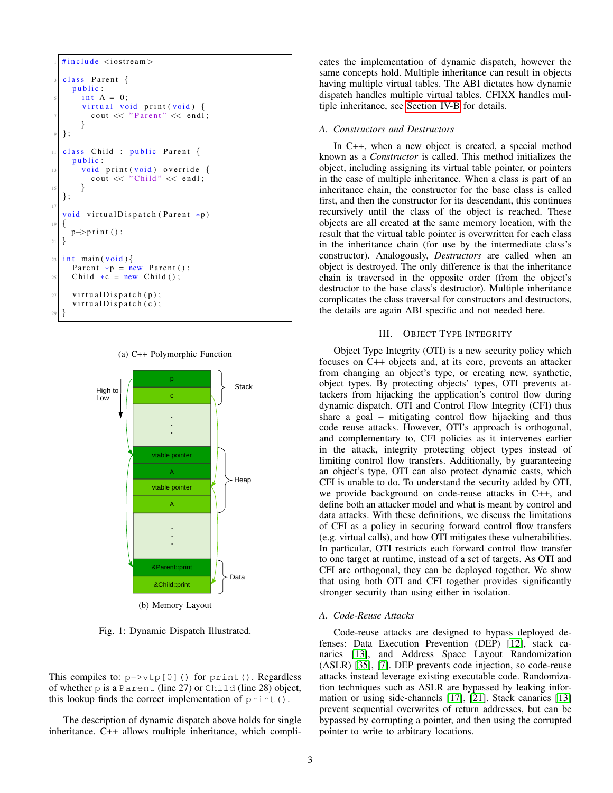

<span id="page-2-1"></span>



<span id="page-2-2"></span><span id="page-2-0"></span>Fig. 1: Dynamic Dispatch Illustrated.

This compiles to:  $p \rightarrow \forall \forall p[0]$  () for print (). Regardless of whether p is a Parent (line 27) or Child (line 28) object, this lookup finds the correct implementation of print().

The description of dynamic dispatch above holds for single inheritance. C++ allows multiple inheritance, which complicates the implementation of dynamic dispatch, however the same concepts hold. Multiple inheritance can result in objects having multiple virtual tables. The ABI dictates how dynamic dispatch handles multiple virtual tables. CFIXX handles multiple inheritance, see [Section IV-B](#page-5-0) for details.

#### *A. Constructors and Destructors*

In C++, when a new object is created, a special method known as a *Constructor* is called. This method initializes the object, including assigning its virtual table pointer, or pointers in the case of multiple inheritance. When a class is part of an inheritance chain, the constructor for the base class is called first, and then the constructor for its descendant, this continues recursively until the class of the object is reached. These objects are all created at the same memory location, with the result that the virtual table pointer is overwritten for each class in the inheritance chain (for use by the intermediate class's constructor). Analogously, *Destructors* are called when an object is destroyed. The only difference is that the inheritance chain is traversed in the opposite order (from the object's destructor to the base class's destructor). Multiple inheritance complicates the class traversal for constructors and destructors, the details are again ABI specific and not needed here.

# III. OBJECT TYPE INTEGRITY

Object Type Integrity (OTI) is a new security policy which focuses on C++ objects and, at its core, prevents an attacker from changing an object's type, or creating new, synthetic, object types. By protecting objects' types, OTI prevents attackers from hijacking the application's control flow during dynamic dispatch. OTI and Control Flow Integrity (CFI) thus share a goal – mitigating control flow hijacking and thus code reuse attacks. However, OTI's approach is orthogonal, and complementary to, CFI policies as it intervenes earlier in the attack, integrity protecting object types instead of limiting control flow transfers. Additionally, by guaranteeing an object's type, OTI can also protect dynamic casts, which CFI is unable to do. To understand the security added by OTI, we provide background on code-reuse attacks in C++, and define both an attacker model and what is meant by control and data attacks. With these definitions, we discuss the limitations of CFI as a policy in securing forward control flow transfers (e.g. virtual calls), and how OTI mitigates these vulnerabilities. In particular, OTI restricts each forward control flow transfer to one target at runtime, instead of a set of targets. As OTI and CFI are orthogonal, they can be deployed together. We show that using both OTI and CFI together provides significantly stronger security than using either in isolation.

### *A. Code-Reuse Attacks*

Code-reuse attacks are designed to bypass deployed defenses: Data Execution Prevention (DEP) [\[12\]](#page-12-6), stack canaries [\[13\]](#page-12-7), and Address Space Layout Randomization (ASLR) [\[35\]](#page-13-6), [\[7\]](#page-12-8). DEP prevents code injection, so code-reuse attacks instead leverage existing executable code. Randomization techniques such as ASLR are bypassed by leaking information or using side-channels [\[17\]](#page-13-7), [\[21\]](#page-13-8). Stack canaries [\[13\]](#page-12-7) prevent sequential overwrites of return addresses, but can be bypassed by corrupting a pointer, and then using the corrupted pointer to write to arbitrary locations.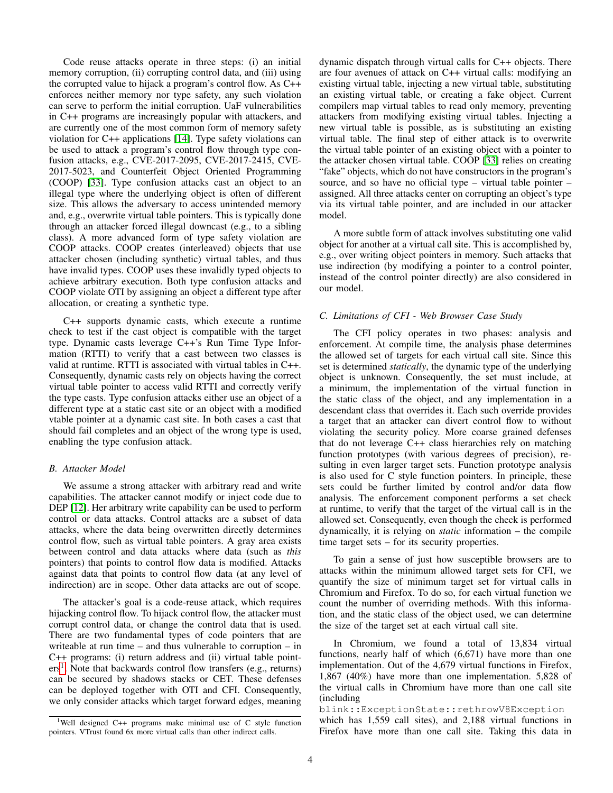Code reuse attacks operate in three steps: (i) an initial memory corruption, (ii) corrupting control data, and (iii) using the corrupted value to hijack a program's control flow. As C++ enforces neither memory nor type safety, any such violation can serve to perform the initial corruption. UaF vulnerabilities in C++ programs are increasingly popular with attackers, and are currently one of the most common form of memory safety violation for C++ applications [\[14\]](#page-12-9). Type safety violations can be used to attack a program's control flow through type confusion attacks, e.g., CVE-2017-2095, CVE-2017-2415, CVE-2017-5023, and Counterfeit Object Oriented Programming (COOP) [\[33\]](#page-13-1). Type confusion attacks cast an object to an illegal type where the underlying object is often of different size. This allows the adversary to access unintended memory and, e.g., overwrite virtual table pointers. This is typically done through an attacker forced illegal downcast (e.g., to a sibling class). A more advanced form of type safety violation are COOP attacks. COOP creates (interleaved) objects that use attacker chosen (including synthetic) virtual tables, and thus have invalid types. COOP uses these invalidly typed objects to achieve arbitrary execution. Both type confusion attacks and COOP violate OTI by assigning an object a different type after allocation, or creating a synthetic type.

C++ supports dynamic casts, which execute a runtime check to test if the cast object is compatible with the target type. Dynamic casts leverage C++'s Run Time Type Information (RTTI) to verify that a cast between two classes is valid at runtime. RTTI is associated with virtual tables in C++. Consequently, dynamic casts rely on objects having the correct virtual table pointer to access valid RTTI and correctly verify the type casts. Type confusion attacks either use an object of a different type at a static cast site or an object with a modified vtable pointer at a dynamic cast site. In both cases a cast that should fail completes and an object of the wrong type is used, enabling the type confusion attack.

# *B. Attacker Model*

We assume a strong attacker with arbitrary read and write capabilities. The attacker cannot modify or inject code due to DEP [\[12\]](#page-12-6). Her arbitrary write capability can be used to perform control or data attacks. Control attacks are a subset of data attacks, where the data being overwritten directly determines control flow, such as virtual table pointers. A gray area exists between control and data attacks where data (such as *this* pointers) that points to control flow data is modified. Attacks against data that points to control flow data (at any level of indirection) are in scope. Other data attacks are out of scope.

The attacker's goal is a code-reuse attack, which requires hijacking control flow. To hijack control flow, the attacker must corrupt control data, or change the control data that is used. There are two fundamental types of code pointers that are writeable at run time – and thus vulnerable to corruption – in C++ programs: (i) return address and (ii) virtual table point-ers<sup>[1](#page-3-1)</sup>. Note that backwards control flow transfers (e.g., returns) can be secured by shadows stacks or CET. These defenses can be deployed together with OTI and CFI. Consequently, we only consider attacks which target forward edges, meaning dynamic dispatch through virtual calls for C++ objects. There are four avenues of attack on C++ virtual calls: modifying an existing virtual table, injecting a new virtual table, substituting an existing virtual table, or creating a fake object. Current compilers map virtual tables to read only memory, preventing attackers from modifying existing virtual tables. Injecting a new virtual table is possible, as is substituting an existing virtual table. The final step of either attack is to overwrite the virtual table pointer of an existing object with a pointer to the attacker chosen virtual table. COOP [\[33\]](#page-13-1) relies on creating "fake" objects, which do not have constructors in the program's source, and so have no official type – virtual table pointer – assigned. All three attacks center on corrupting an object's type via its virtual table pointer, and are included in our attacker model.

A more subtle form of attack involves substituting one valid object for another at a virtual call site. This is accomplished by, e.g., over writing object pointers in memory. Such attacks that use indirection (by modifying a pointer to a control pointer, instead of the control pointer directly) are also considered in our model.

# <span id="page-3-0"></span>*C. Limitations of CFI - Web Browser Case Study*

The CFI policy operates in two phases: analysis and enforcement. At compile time, the analysis phase determines the allowed set of targets for each virtual call site. Since this set is determined *statically*, the dynamic type of the underlying object is unknown. Consequently, the set must include, at a minimum, the implementation of the virtual function in the static class of the object, and any implementation in a descendant class that overrides it. Each such override provides a target that an attacker can divert control flow to without violating the security policy. More coarse grained defenses that do not leverage C++ class hierarchies rely on matching function prototypes (with various degrees of precision), resulting in even larger target sets. Function prototype analysis is also used for C style function pointers. In principle, these sets could be further limited by control and/or data flow analysis. The enforcement component performs a set check at runtime, to verify that the target of the virtual call is in the allowed set. Consequently, even though the check is performed dynamically, it is relying on *static* information – the compile time target sets – for its security properties.

To gain a sense of just how susceptible browsers are to attacks within the minimum allowed target sets for CFI, we quantify the size of minimum target set for virtual calls in Chromium and Firefox. To do so, for each virtual function we count the number of overriding methods. With this information, and the static class of the object used, we can determine the size of the target set at each virtual call site.

In Chromium, we found a total of 13,834 virtual functions, nearly half of which (6,671) have more than one implementation. Out of the 4,679 virtual functions in Firefox, 1,867 (40%) have more than one implementation. 5,828 of the virtual calls in Chromium have more than one call site (including

blink::ExceptionState::rethrowV8Exception which has 1,559 call sites), and 2,188 virtual functions in Firefox have more than one call site. Taking this data in

<span id="page-3-1"></span><sup>1</sup>Well designed C++ programs make minimal use of C style function pointers. VTrust found 6x more virtual calls than other indirect calls.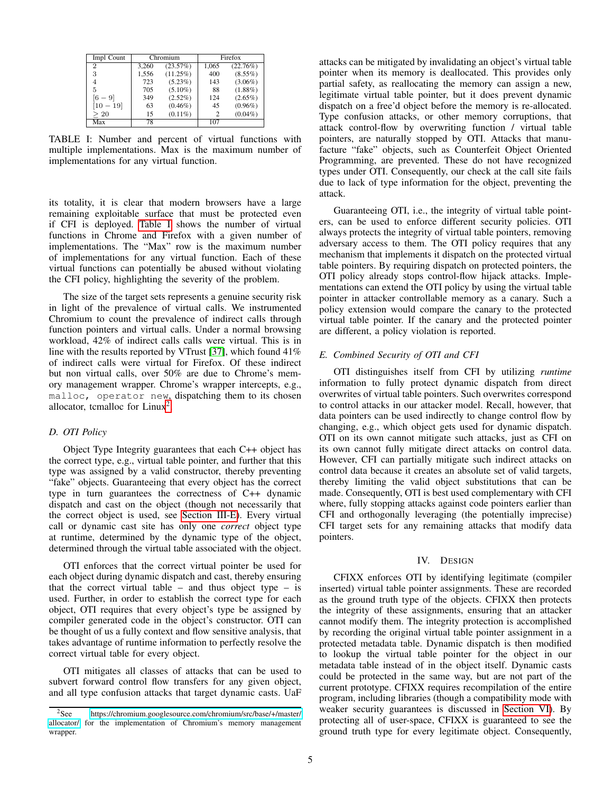| Impl Count     | Chromium |             | Firefox        |            |
|----------------|----------|-------------|----------------|------------|
| $\overline{2}$ | 3,260    | (23.57%)    | 1,065          | (22.76%)   |
| 3              | 1.556    | $(11.25\%)$ | 400            | $(8.55\%)$ |
| 4              | 723      | $(5.23\%)$  | 143            | $(3.06\%)$ |
| 5              | 705      | $(5.10\%)$  | 88             | $(1.88\%)$ |
| - 91           | 349      | $(2.52\%)$  | 124            | $(2.65\%)$ |
| [10 – 19]      | 63       | $(0.46\%)$  | 45             | $(0.96\%)$ |
| > 20           | 15       | $(0.11\%)$  | $\mathfrak{D}$ | $(0.04\%)$ |
| Max            | 78       |             | 107            |            |

<span id="page-4-1"></span>TABLE I: Number and percent of virtual functions with multiple implementations. Max is the maximum number of implementations for any virtual function.

its totality, it is clear that modern browsers have a large remaining exploitable surface that must be protected even if CFI is deployed. [Table I](#page-4-1) shows the number of virtual functions in Chrome and Firefox with a given number of implementations. The "Max" row is the maximum number of implementations for any virtual function. Each of these virtual functions can potentially be abused without violating the CFI policy, highlighting the severity of the problem.

The size of the target sets represents a genuine security risk in light of the prevalence of virtual calls. We instrumented Chromium to count the prevalence of indirect calls through function pointers and virtual calls. Under a normal browsing workload, 42% of indirect calls calls were virtual. This is in line with the results reported by VTrust [\[37\]](#page-13-4), which found 41% of indirect calls were virtual for Firefox. Of these indirect but non virtual calls, over 50% are due to Chrome's memory management wrapper. Chrome's wrapper intercepts, e.g., malloc, operator new, dispatching them to its chosen allocator, temalloc for  $Linux<sup>2</sup>$  $Linux<sup>2</sup>$  $Linux<sup>2</sup>$ .

# *D. OTI Policy*

Object Type Integrity guarantees that each C++ object has the correct type, e.g., virtual table pointer, and further that this type was assigned by a valid constructor, thereby preventing "fake" objects. Guaranteeing that every object has the correct type in turn guarantees the correctness of C++ dynamic dispatch and cast on the object (though not necessarily that the correct object is used, see [Section III-E\)](#page-4-0). Every virtual call or dynamic cast site has only one *correct* object type at runtime, determined by the dynamic type of the object, determined through the virtual table associated with the object.

OTI enforces that the correct virtual pointer be used for each object during dynamic dispatch and cast, thereby ensuring that the correct virtual table – and thus object type – is used. Further, in order to establish the correct type for each object, OTI requires that every object's type be assigned by compiler generated code in the object's constructor. OTI can be thought of us a fully context and flow sensitive analysis, that takes advantage of runtime information to perfectly resolve the correct virtual table for every object.

OTI mitigates all classes of attacks that can be used to subvert forward control flow transfers for any given object, and all type confusion attacks that target dynamic casts. UaF attacks can be mitigated by invalidating an object's virtual table pointer when its memory is deallocated. This provides only partial safety, as reallocating the memory can assign a new, legitimate virtual table pointer, but it does prevent dynamic dispatch on a free'd object before the memory is re-allocated. Type confusion attacks, or other memory corruptions, that attack control-flow by overwriting function / virtual table pointers, are naturally stopped by OTI. Attacks that manufacture "fake" objects, such as Counterfeit Object Oriented Programming, are prevented. These do not have recognized types under OTI. Consequently, our check at the call site fails due to lack of type information for the object, preventing the attack.

Guaranteeing OTI, i.e., the integrity of virtual table pointers, can be used to enforce different security policies. OTI always protects the integrity of virtual table pointers, removing adversary access to them. The OTI policy requires that any mechanism that implements it dispatch on the protected virtual table pointers. By requiring dispatch on protected pointers, the OTI policy already stops control-flow hijack attacks. Implementations can extend the OTI policy by using the virtual table pointer in attacker controllable memory as a canary. Such a policy extension would compare the canary to the protected virtual table pointer. If the canary and the protected pointer are different, a policy violation is reported.

# <span id="page-4-0"></span>*E. Combined Security of OTI and CFI*

OTI distinguishes itself from CFI by utilizing *runtime* information to fully protect dynamic dispatch from direct overwrites of virtual table pointers. Such overwrites correspond to control attacks in our attacker model. Recall, however, that data pointers can be used indirectly to change control flow by changing, e.g., which object gets used for dynamic dispatch. OTI on its own cannot mitigate such attacks, just as CFI on its own cannot fully mitigate direct attacks on control data. However, CFI can partially mitigate such indirect attacks on control data because it creates an absolute set of valid targets, thereby limiting the valid object substitutions that can be made. Consequently, OTI is best used complementary with CFI where, fully stopping attacks against code pointers earlier than CFI and orthogonally leveraging (the potentially imprecise) CFI target sets for any remaining attacks that modify data pointers.

#### IV. DESIGN

<span id="page-4-3"></span>CFIXX enforces OTI by identifying legitimate (compiler inserted) virtual table pointer assignments. These are recorded as the ground truth type of the objects. CFIXX then protects the integrity of these assignments, ensuring that an attacker cannot modify them. The integrity protection is accomplished by recording the original virtual table pointer assignment in a protected metadata table. Dynamic dispatch is then modified to lookup the virtual table pointer for the object in our metadata table instead of in the object itself. Dynamic casts could be protected in the same way, but are not part of the current prototype. CFIXX requires recompilation of the entire program, including libraries (though a compatibility mode with weaker security guarantees is discussed in [Section VI\)](#page-8-0). By protecting all of user-space, CFIXX is guaranteed to see the ground truth type for every legitimate object. Consequently,

<span id="page-4-2"></span><sup>2</sup>See [https://chromium.googlesource.com/chromium/src/base/+/master/](https://chromium.googlesource.com/chromium/src/base/+/master/allocator/) [allocator/](https://chromium.googlesource.com/chromium/src/base/+/master/allocator/) for the implementation of Chromium's memory management wrapper.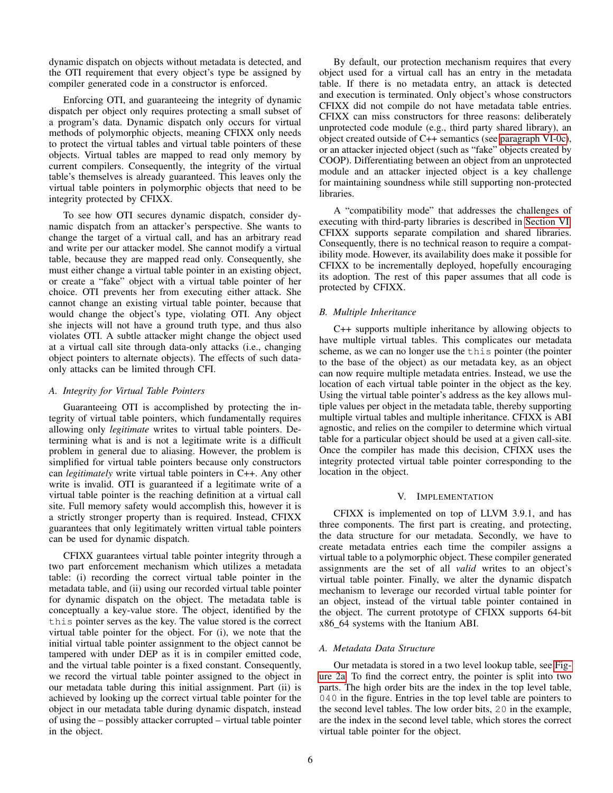dynamic dispatch on objects without metadata is detected, and the OTI requirement that every object's type be assigned by compiler generated code in a constructor is enforced.

Enforcing OTI, and guaranteeing the integrity of dynamic dispatch per object only requires protecting a small subset of a program's data. Dynamic dispatch only occurs for virtual methods of polymorphic objects, meaning CFIXX only needs to protect the virtual tables and virtual table pointers of these objects. Virtual tables are mapped to read only memory by current compilers. Consequently, the integrity of the virtual table's themselves is already guaranteed. This leaves only the virtual table pointers in polymorphic objects that need to be integrity protected by CFIXX.

To see how OTI secures dynamic dispatch, consider dynamic dispatch from an attacker's perspective. She wants to change the target of a virtual call, and has an arbitrary read and write per our attacker model. She cannot modify a virtual table, because they are mapped read only. Consequently, she must either change a virtual table pointer in an existing object, or create a "fake" object with a virtual table pointer of her choice. OTI prevents her from executing either attack. She cannot change an existing virtual table pointer, because that would change the object's type, violating OTI. Any object she injects will not have a ground truth type, and thus also violates OTI. A subtle attacker might change the object used at a virtual call site through data-only attacks (i.e., changing object pointers to alternate objects). The effects of such dataonly attacks can be limited through CFI.

# *A. Integrity for Virtual Table Pointers*

Guaranteeing OTI is accomplished by protecting the integrity of virtual table pointers, which fundamentally requires allowing only *legitimate* writes to virtual table pointers. Determining what is and is not a legitimate write is a difficult problem in general due to aliasing. However, the problem is simplified for virtual table pointers because only constructors can *legitimately* write virtual table pointers in C++. Any other write is invalid. OTI is guaranteed if a legitimate write of a virtual table pointer is the reaching definition at a virtual call site. Full memory safety would accomplish this, however it is a strictly stronger property than is required. Instead, CFIXX guarantees that only legitimately written virtual table pointers can be used for dynamic dispatch.

CFIXX guarantees virtual table pointer integrity through a two part enforcement mechanism which utilizes a metadata table: (i) recording the correct virtual table pointer in the metadata table, and (ii) using our recorded virtual table pointer for dynamic dispatch on the object. The metadata table is conceptually a key-value store. The object, identified by the this pointer serves as the key. The value stored is the correct virtual table pointer for the object. For (i), we note that the initial virtual table pointer assignment to the object cannot be tampered with under DEP as it is in compiler emitted code, and the virtual table pointer is a fixed constant. Consequently, we record the virtual table pointer assigned to the object in our metadata table during this initial assignment. Part (ii) is achieved by looking up the correct virtual table pointer for the object in our metadata table during dynamic dispatch, instead of using the – possibly attacker corrupted – virtual table pointer in the object.

By default, our protection mechanism requires that every object used for a virtual call has an entry in the metadata table. If there is no metadata entry, an attack is detected and execution is terminated. Only object's whose constructors CFIXX did not compile do not have metadata table entries. CFIXX can miss constructors for three reasons: deliberately unprotected code module (e.g., third party shared library), an object created outside of C++ semantics (see [paragraph VI-0c\)](#page-8-1), or an attacker injected object (such as "fake" objects created by COOP). Differentiating between an object from an unprotected module and an attacker injected object is a key challenge for maintaining soundness while still supporting non-protected libraries.

A "compatibility mode" that addresses the challenges of executing with third-party libraries is described in [Section VI.](#page-8-0) CFIXX supports separate compilation and shared libraries. Consequently, there is no technical reason to require a compatibility mode. However, its availability does make it possible for CFIXX to be incrementally deployed, hopefully encouraging its adoption. The rest of this paper assumes that all code is protected by CFIXX.

# <span id="page-5-0"></span>*B. Multiple Inheritance*

C++ supports multiple inheritance by allowing objects to have multiple virtual tables. This complicates our metadata scheme, as we can no longer use the this pointer (the pointer to the base of the object) as our metadata key, as an object can now require multiple metadata entries. Instead, we use the location of each virtual table pointer in the object as the key. Using the virtual table pointer's address as the key allows multiple values per object in the metadata table, thereby supporting multiple virtual tables and multiple inheritance. CFIXX is ABI agnostic, and relies on the compiler to determine which virtual table for a particular object should be used at a given call-site. Once the compiler has made this decision, CFIXX uses the integrity protected virtual table pointer corresponding to the location in the object.

# V. IMPLEMENTATION

CFIXX is implemented on top of LLVM 3.9.1, and has three components. The first part is creating, and protecting, the data structure for our metadata. Secondly, we have to create metadata entries each time the compiler assigns a virtual table to a polymorphic object. These compiler generated assignments are the set of all *valid* writes to an object's virtual table pointer. Finally, we alter the dynamic dispatch mechanism to leverage our recorded virtual table pointer for an object, instead of the virtual table pointer contained in the object. The current prototype of CFIXX supports 64-bit x86 64 systems with the Itanium ABI.

# *A. Metadata Data Structure*

Our metadata is stored in a two level lookup table, see [Fig](#page-6-0)[ure 2a.](#page-6-0) To find the correct entry, the pointer is split into two parts. The high order bits are the index in the top level table, 040 in the figure. Entries in the top level table are pointers to the second level tables. The low order bits, 20 in the example, are the index in the second level table, which stores the correct virtual table pointer for the object.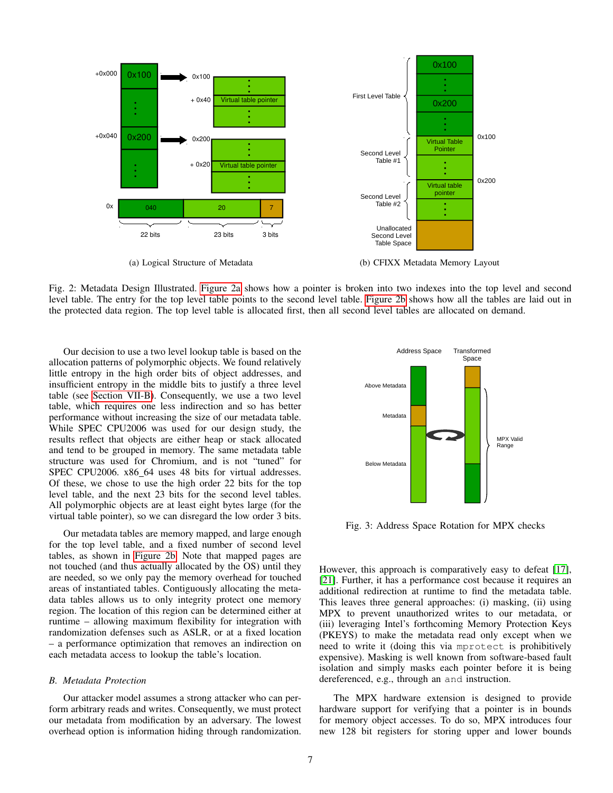

<span id="page-6-0"></span>Fig. 2: Metadata Design Illustrated. [Figure 2a](#page-6-0) shows how a pointer is broken into two indexes into the top level and second level table. The entry for the top level table points to the second level table. [Figure 2b](#page-6-1) shows how all the tables are laid out in the protected data region. The top level table is allocated first, then all second level tables are allocated on demand.

Our decision to use a two level lookup table is based on the allocation patterns of polymorphic objects. We found relatively little entropy in the high order bits of object addresses, and insufficient entropy in the middle bits to justify a three level table (see [Section VII-B\)](#page-10-0). Consequently, we use a two level table, which requires one less indirection and so has better performance without increasing the size of our metadata table. While SPEC CPU2006 was used for our design study, the results reflect that objects are either heap or stack allocated and tend to be grouped in memory. The same metadata table structure was used for Chromium, and is not "tuned" for SPEC CPU2006. x86 64 uses 48 bits for virtual addresses. Of these, we chose to use the high order 22 bits for the top level table, and the next 23 bits for the second level tables. All polymorphic objects are at least eight bytes large (for the virtual table pointer), so we can disregard the low order 3 bits.

Our metadata tables are memory mapped, and large enough for the top level table, and a fixed number of second level tables, as shown in [Figure 2b.](#page-6-1) Note that mapped pages are not touched (and thus actually allocated by the OS) until they are needed, so we only pay the memory overhead for touched areas of instantiated tables. Contiguously allocating the metadata tables allows us to only integrity protect one memory region. The location of this region can be determined either at runtime – allowing maximum flexibility for integration with randomization defenses such as ASLR, or at a fixed location – a performance optimization that removes an indirection on each metadata access to lookup the table's location.

## *B. Metadata Protection*

Our attacker model assumes a strong attacker who can perform arbitrary reads and writes. Consequently, we must protect our metadata from modification by an adversary. The lowest overhead option is information hiding through randomization.

<span id="page-6-1"></span>

<span id="page-6-2"></span>Fig. 3: Address Space Rotation for MPX checks

However, this approach is comparatively easy to defeat [\[17\]](#page-13-7), [\[21\]](#page-13-8). Further, it has a performance cost because it requires an additional redirection at runtime to find the metadata table. This leaves three general approaches: (i) masking, (ii) using MPX to prevent unauthorized writes to our metadata, or (iii) leveraging Intel's forthcoming Memory Protection Keys (PKEYS) to make the metadata read only except when we need to write it (doing this via mprotect is prohibitively expensive). Masking is well known from software-based fault isolation and simply masks each pointer before it is being dereferenced, e.g., through an and instruction.

The MPX hardware extension is designed to provide hardware support for verifying that a pointer is in bounds for memory object accesses. To do so, MPX introduces four new 128 bit registers for storing upper and lower bounds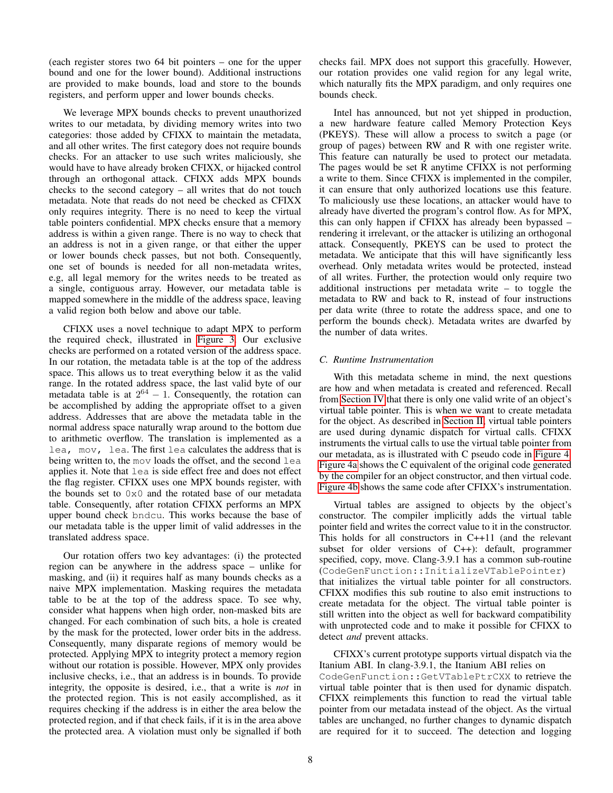(each register stores two 64 bit pointers – one for the upper bound and one for the lower bound). Additional instructions are provided to make bounds, load and store to the bounds registers, and perform upper and lower bounds checks.

We leverage MPX bounds checks to prevent unauthorized writes to our metadata, by dividing memory writes into two categories: those added by CFIXX to maintain the metadata, and all other writes. The first category does not require bounds checks. For an attacker to use such writes maliciously, she would have to have already broken CFIXX, or hijacked control through an orthogonal attack. CFIXX adds MPX bounds checks to the second category – all writes that do not touch metadata. Note that reads do not need be checked as CFIXX only requires integrity. There is no need to keep the virtual table pointers confidential. MPX checks ensure that a memory address is within a given range. There is no way to check that an address is not in a given range, or that either the upper or lower bounds check passes, but not both. Consequently, one set of bounds is needed for all non-metadata writes, e.g, all legal memory for the writes needs to be treated as a single, contiguous array. However, our metadata table is mapped somewhere in the middle of the address space, leaving a valid region both below and above our table.

CFIXX uses a novel technique to adapt MPX to perform the required check, illustrated in [Figure 3.](#page-6-2) Our exclusive checks are performed on a rotated version of the address space. In our rotation, the metadata table is at the top of the address space. This allows us to treat everything below it as the valid range. In the rotated address space, the last valid byte of our metadata table is at  $2^{64} - 1$ . Consequently, the rotation can be accomplished by adding the appropriate offset to a given address. Addresses that are above the metadata table in the normal address space naturally wrap around to the bottom due to arithmetic overflow. The translation is implemented as a lea, mov, lea. The first lea calculates the address that is being written to, the mov loads the offset, and the second lea applies it. Note that lea is side effect free and does not effect the flag register. CFIXX uses one MPX bounds register, with the bounds set to 0x0 and the rotated base of our metadata table. Consequently, after rotation CFIXX performs an MPX upper bound check bndcu. This works because the base of our metadata table is the upper limit of valid addresses in the translated address space.

Our rotation offers two key advantages: (i) the protected region can be anywhere in the address space – unlike for masking, and (ii) it requires half as many bounds checks as a naive MPX implementation. Masking requires the metadata table to be at the top of the address space. To see why, consider what happens when high order, non-masked bits are changed. For each combination of such bits, a hole is created by the mask for the protected, lower order bits in the address. Consequently, many disparate regions of memory would be protected. Applying MPX to integrity protect a memory region without our rotation is possible. However, MPX only provides inclusive checks, i.e., that an address is in bounds. To provide integrity, the opposite is desired, i.e., that a write is *not* in the protected region. This is not easily accomplished, as it requires checking if the address is in either the area below the protected region, and if that check fails, if it is in the area above the protected area. A violation must only be signalled if both checks fail. MPX does not support this gracefully. However, our rotation provides one valid region for any legal write, which naturally fits the MPX paradigm, and only requires one bounds check.

Intel has announced, but not yet shipped in production, a new hardware feature called Memory Protection Keys (PKEYS). These will allow a process to switch a page (or group of pages) between RW and R with one register write. This feature can naturally be used to protect our metadata. The pages would be set R anytime CFIXX is not performing a write to them. Since CFIXX is implemented in the compiler, it can ensure that only authorized locations use this feature. To maliciously use these locations, an attacker would have to already have diverted the program's control flow. As for MPX, this can only happen if CFIXX has already been bypassed – rendering it irrelevant, or the attacker is utilizing an orthogonal attack. Consequently, PKEYS can be used to protect the metadata. We anticipate that this will have significantly less overhead. Only metadata writes would be protected, instead of all writes. Further, the protection would only require two additional instructions per metadata write – to toggle the metadata to RW and back to R, instead of four instructions per data write (three to rotate the address space, and one to perform the bounds check). Metadata writes are dwarfed by the number of data writes.

# *C. Runtime Instrumentation*

With this metadata scheme in mind, the next questions are how and when metadata is created and referenced. Recall from [Section IV](#page-4-3) that there is only one valid write of an object's virtual table pointer. This is when we want to create metadata for the object. As described in [Section II,](#page-1-0) virtual table pointers are used during dynamic dispatch for virtual calls. CFIXX instruments the virtual calls to use the virtual table pointer from our metadata, as is illustrated with C pseudo code in [Figure 4.](#page-8-2) [Figure 4a](#page-8-3) shows the C equivalent of the original code generated by the compiler for an object constructor, and then virtual code. [Figure 4b](#page-8-4) shows the same code after CFIXX's instrumentation.

Virtual tables are assigned to objects by the object's constructor. The compiler implicitly adds the virtual table pointer field and writes the correct value to it in the constructor. This holds for all constructors in C++11 (and the relevant subset for older versions of C++): default, programmer specified, copy, move. Clang-3.9.1 has a common sub-routine (CodeGenFunction::InitializeVTablePointer) that initializes the virtual table pointer for all constructors. CFIXX modifies this sub routine to also emit instructions to create metadata for the object. The virtual table pointer is still written into the object as well for backward compatibility with unprotected code and to make it possible for CFIXX to detect *and* prevent attacks.

CFIXX's current prototype supports virtual dispatch via the Itanium ABI. In clang-3.9.1, the Itanium ABI relies on CodeGenFunction::GetVTablePtrCXX to retrieve the virtual table pointer that is then used for dynamic dispatch. CFIXX reimplements this function to read the virtual table pointer from our metadata instead of the object. As the virtual tables are unchanged, no further changes to dynamic dispatch are required for it to succeed. The detection and logging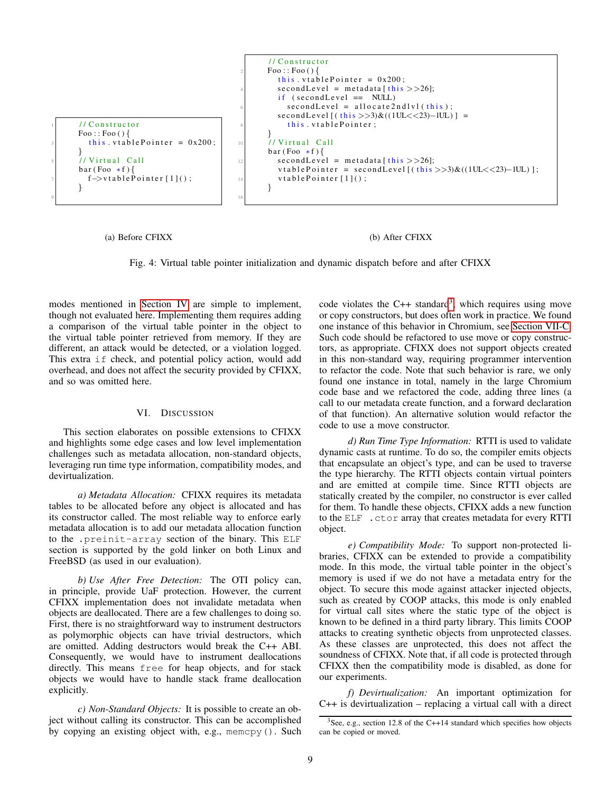<sup>1</sup> / / C o n s t r u c t o r Foo : : Foo ( ) { <sup>3</sup> t h i s . v t a b l e P o i n t e r = 0 x200 ; } <sup>5</sup> / / V i r t u a l C a l l b a r ( Foo ∗ f ) { <sup>7</sup> f−>v t a b l e P o i n t e r [ 1 ] ( ) ; } 9 / / C o n s t r u c t o r <sup>2</sup> Foo : : Foo ( ) { t h i s . v t a b l e P o i n t e r = 0 x200 ; <sup>4</sup> s e c o n d L e v el = m et a d at a [ t h i s >>26]; i f ( s e c o n d L e v el == NULL) <sup>6</sup> s e c o n d L e v el = a l l o c a t e 2 n d l v l ( t h i s ) ; s e c o n d L e v el [ ( t h i s >>3)& ( (1UL<<23)−1UL ) ] = <sup>8</sup> t h i s . v t a b l e P o i n t e r ; } <sup>10</sup> / / V i r t u a l C a l l b a r ( Foo ∗ f ) { <sup>12</sup> s e c o n d L e v el = m et a d at a [ t h i s >>26]; v t a b l e P o i n t e r = s e c o n d L e v el [ ( t h i s >>3)& ( (1UL<<23)−1UL ) ] ; <sup>14</sup> v t a b l e P o i n t e r [ 1 ] ( ) ; } 16

<span id="page-8-3"></span>(a) Before CFIXX

#### <span id="page-8-4"></span>(b) After CFIXX

<span id="page-8-2"></span>Fig. 4: Virtual table pointer initialization and dynamic dispatch before and after CFIXX

modes mentioned in [Section IV](#page-4-3) are simple to implement, though not evaluated here. Implementing them requires adding a comparison of the virtual table pointer in the object to the virtual table pointer retrieved from memory. If they are different, an attack would be detected, or a violation logged. This extra if check, and potential policy action, would add overhead, and does not affect the security provided by CFIXX, and so was omitted here.

# VI. DISCUSSION

<span id="page-8-0"></span>This section elaborates on possible extensions to CFIXX and highlights some edge cases and low level implementation challenges such as metadata allocation, non-standard objects, leveraging run time type information, compatibility modes, and devirtualization.

*a) Metadata Allocation:* CFIXX requires its metadata tables to be allocated before any object is allocated and has its constructor called. The most reliable way to enforce early metadata allocation is to add our metadata allocation function to the .preinit-array section of the binary. This ELF section is supported by the gold linker on both Linux and FreeBSD (as used in our evaluation).

*b) Use After Free Detection:* The OTI policy can, in principle, provide UaF protection. However, the current CFIXX implementation does not invalidate metadata when objects are deallocated. There are a few challenges to doing so. First, there is no straightforward way to instrument destructors as polymorphic objects can have trivial destructors, which are omitted. Adding destructors would break the C++ ABI. Consequently, we would have to instrument deallocations directly. This means free for heap objects, and for stack objects we would have to handle stack frame deallocation explicitly.

<span id="page-8-1"></span>*c) Non-Standard Objects:* It is possible to create an object without calling its constructor. This can be accomplished by copying an existing object with, e.g., memcpy(). Such

code violates the C++ standard<sup>[3](#page-8-5)</sup>, which requires using move or copy constructors, but does often work in practice. We found one instance of this behavior in Chromium, see [Section VII-C.](#page-10-1) Such code should be refactored to use move or copy constructors, as appropriate. CFIXX does not support objects created in this non-standard way, requiring programmer intervention to refactor the code. Note that such behavior is rare, we only found one instance in total, namely in the large Chromium code base and we refactored the code, adding three lines (a call to our metadata create function, and a forward declaration of that function). An alternative solution would refactor the code to use a move constructor.

*d) Run Time Type Information:* RTTI is used to validate dynamic casts at runtime. To do so, the compiler emits objects that encapsulate an object's type, and can be used to traverse the type hierarchy. The RTTI objects contain virtual pointers and are emitted at compile time. Since RTTI objects are statically created by the compiler, no constructor is ever called for them. To handle these objects, CFIXX adds a new function to the ELF .ctor array that creates metadata for every RTTI object.

*e) Compatibility Mode:* To support non-protected libraries, CFIXX can be extended to provide a compatibility mode. In this mode, the virtual table pointer in the object's memory is used if we do not have a metadata entry for the object. To secure this mode against attacker injected objects, such as created by COOP attacks, this mode is only enabled for virtual call sites where the static type of the object is known to be defined in a third party library. This limits COOP attacks to creating synthetic objects from unprotected classes. As these classes are unprotected, this does not affect the soundness of CFIXX. Note that, if all code is protected through CFIXX then the compatibility mode is disabled, as done for our experiments.

*f) Devirtualization:* An important optimization for C++ is devirtualization – replacing a virtual call with a direct

<span id="page-8-5"></span> $3$ See, e.g., section 12.8 of the C++14 standard which specifies how objects can be copied or moved.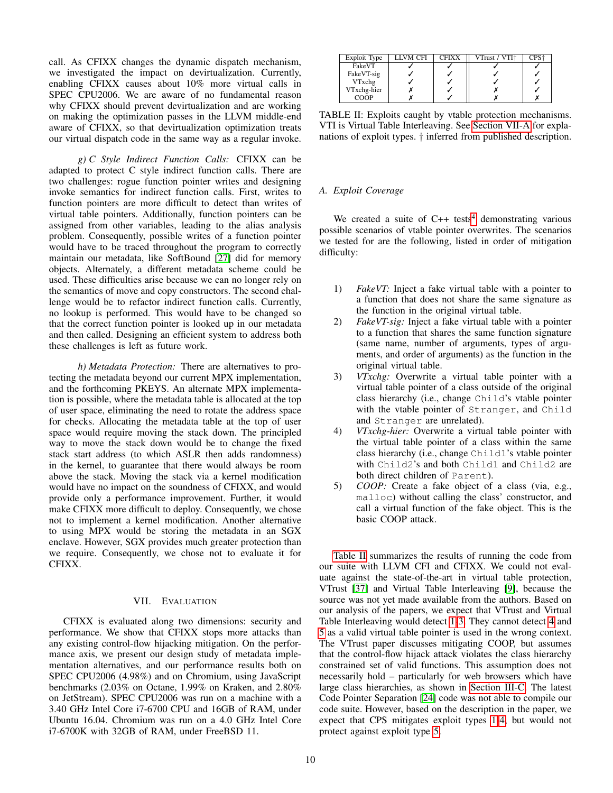call. As CFIXX changes the dynamic dispatch mechanism, we investigated the impact on devirtualization. Currently, enabling CFIXX causes about 10% more virtual calls in SPEC CPU2006. We are aware of no fundamental reason why CFIXX should prevent devirtualization and are working on making the optimization passes in the LLVM middle-end aware of CFIXX, so that devirtualization optimization treats our virtual dispatch code in the same way as a regular invoke.

*g) C Style Indirect Function Calls:* CFIXX can be adapted to protect C style indirect function calls. There are two challenges: rogue function pointer writes and designing invoke semantics for indirect function calls. First, writes to function pointers are more difficult to detect than writes of virtual table pointers. Additionally, function pointers can be assigned from other variables, leading to the alias analysis problem. Consequently, possible writes of a function pointer would have to be traced throughout the program to correctly maintain our metadata, like SoftBound [\[27\]](#page-13-9) did for memory objects. Alternately, a different metadata scheme could be used. These difficulties arise because we can no longer rely on the semantics of move and copy constructors. The second challenge would be to refactor indirect function calls. Currently, no lookup is performed. This would have to be changed so that the correct function pointer is looked up in our metadata and then called. Designing an efficient system to address both these challenges is left as future work.

*h) Metadata Protection:* There are alternatives to protecting the metadata beyond our current MPX implementation, and the forthcoming PKEYS. An alternate MPX implementation is possible, where the metadata table is allocated at the top of user space, eliminating the need to rotate the address space for checks. Allocating the metadata table at the top of user space would require moving the stack down. The principled way to move the stack down would be to change the fixed stack start address (to which ASLR then adds randomness) in the kernel, to guarantee that there would always be room above the stack. Moving the stack via a kernel modification would have no impact on the soundness of CFIXX, and would provide only a performance improvement. Further, it would make CFIXX more difficult to deploy. Consequently, we chose not to implement a kernel modification. Another alternative to using MPX would be storing the metadata in an SGX enclave. However, SGX provides much greater protection than we require. Consequently, we chose not to evaluate it for CFIXX.

# VII. EVALUATION

CFIXX is evaluated along two dimensions: security and performance. We show that CFIXX stops more attacks than any existing control-flow hijacking mitigation. On the performance axis, we present our design study of metadata implementation alternatives, and our performance results both on SPEC CPU2006 (4.98%) and on Chromium, using JavaScript benchmarks (2.03% on Octane, 1.99% on Kraken, and 2.80% on JetStream). SPEC CPU2006 was run on a machine with a 3.40 GHz Intel Core i7-6700 CPU and 16GB of RAM, under Ubuntu 16.04. Chromium was run on a 4.0 GHz Intel Core i7-6700K with 32GB of RAM, under FreeBSD 11.

| Exploit Type | LLVM CFI | <b>CFIXX</b> | VTrust / VTI+ | PS |
|--------------|----------|--------------|---------------|----|
| FakeVT       |          |              |               |    |
| FakeVT-sig   |          |              |               |    |
| VTxchg       |          |              |               |    |
| VTxchg-hier  |          |              |               |    |
| COOP         |          |              |               |    |

<span id="page-9-1"></span>TABLE II: Exploits caught by vtable protection mechanisms. VTI is Virtual Table Interleaving. See [Section VII-A](#page-9-0) for explanations of exploit types. † inferred from published description.

# <span id="page-9-0"></span>*A. Exploit Coverage*

We created a suite of  $C++$  tests<sup>[4](#page-10-2)</sup> demonstrating various possible scenarios of vtable pointer overwrites. The scenarios we tested for are the following, listed in order of mitigation difficulty:

- <span id="page-9-2"></span>1) *FakeVT:* Inject a fake virtual table with a pointer to a function that does not share the same signature as the function in the original virtual table.
- 2) *FakeVT-sig:* Inject a fake virtual table with a pointer to a function that shares the same function signature (same name, number of arguments, types of arguments, and order of arguments) as the function in the original virtual table.
- <span id="page-9-3"></span>3) *VTxchg:* Overwrite a virtual table pointer with a virtual table pointer of a class outside of the original class hierarchy (i.e., change Child's vtable pointer with the vtable pointer of Stranger, and Child and Stranger are unrelated).
- <span id="page-9-4"></span>4) *VTxchg-hier:* Overwrite a virtual table pointer with the virtual table pointer of a class within the same class hierarchy (i.e., change Child1's vtable pointer with Child2's and both Child1 and Child2 are both direct children of Parent).
- <span id="page-9-5"></span>5) *COOP:* Create a fake object of a class (via, e.g., malloc) without calling the class' constructor, and call a virtual function of the fake object. This is the basic COOP attack.

[Table II](#page-9-1) summarizes the results of running the code from our suite with LLVM CFI and CFIXX. We could not evaluate against the state-of-the-art in virtual table protection, VTrust [\[37\]](#page-13-4) and Virtual Table Interleaving [\[9\]](#page-12-3), because the source was not yet made available from the authors. Based on our analysis of the papers, we expect that VTrust and Virtual Table Interleaving would detect [1-](#page-9-2)[3.](#page-9-3) They cannot detect [4](#page-9-4) and [5](#page-9-5) as a valid virtual table pointer is used in the wrong context. The VTrust paper discusses mitigating COOP, but assumes that the control-flow hijack attack violates the class hierarchy constrained set of valid functions. This assumption does not necessarily hold – particularly for web browsers which have large class hierarchies, as shown in [Section III-C.](#page-3-0) The latest Code Pointer Separation [\[24\]](#page-13-10) code was not able to compile our code suite. However, based on the description in the paper, we expect that CPS mitigates exploit types [1](#page-9-2)[-4,](#page-9-4) but would not protect against exploit type [5.](#page-9-5)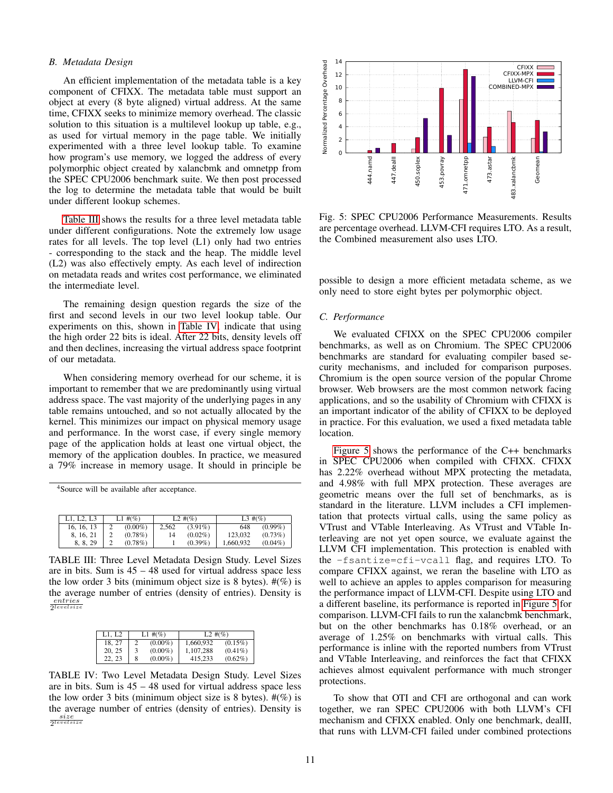## <span id="page-10-0"></span>*B. Metadata Design*

An efficient implementation of the metadata table is a key component of CFIXX. The metadata table must support an object at every (8 byte aligned) virtual address. At the same time, CFIXX seeks to minimize memory overhead. The classic solution to this situation is a multilevel lookup up table, e.g., as used for virtual memory in the page table. We initially experimented with a three level lookup table. To examine how program's use memory, we logged the address of every polymorphic object created by xalancbmk and omnetpp from the SPEC CPU2006 benchmark suite. We then post processed the log to determine the metadata table that would be built under different lookup schemes.

[Table III](#page-10-3) shows the results for a three level metadata table under different configurations. Note the extremely low usage rates for all levels. The top level (L1) only had two entries - corresponding to the stack and the heap. The middle level (L2) was also effectively empty. As each level of indirection on metadata reads and writes cost performance, we eliminated the intermediate level.

The remaining design question regards the size of the first and second levels in our two level lookup table. Our experiments on this, shown in [Table IV,](#page-10-4) indicate that using the high order 22 bits is ideal. After 22 bits, density levels off and then declines, increasing the virtual address space footprint of our metadata.

When considering memory overhead for our scheme, it is important to remember that we are predominantly using virtual address space. The vast majority of the underlying pages in any table remains untouched, and so not actually allocated by the kernel. This minimizes our impact on physical memory usage and performance. In the worst case, if every single memory page of the application holds at least one virtual object, the memory of the application doubles. In practice, we measured a 79% increase in memory usage. It should in principle be ow program's use memory, we logeed the address of every<br>
of symorphic object created by xalanchmic and earnegre from<br>
e SPEC CPU2006 benchmicat stile. We then post processed<br>
the PaC CPU2006 benchmications with the weak o

<span id="page-10-2"></span><sup>4</sup>Source will be available after acceptance.

| L1. L2. L3 | $L1 \#({\%})$ | $L2 \#({\%})$ |            | $L3 \#({\%})$ |            |
|------------|---------------|---------------|------------|---------------|------------|
| 16, 16, 13 | $(0.00\%)$    | 2.562         | $(3.91\%)$ | 648           | $(0.99\%)$ |
| 8, 16, 21  | $(0.78\%)$    | 14            | $(0.02\%)$ | 123.032       | $(0.73\%)$ |
| 8.8.29     | $(0.78\%)$    |               | $(0.39\%)$ | 1.660.932     | $(0.04\%)$ |

<span id="page-10-3"></span>TABLE III: Three Level Metadata Design Study. Level Sizes are in bits. Sum is 45 – 48 used for virtual address space less the low order 3 bits (minimum object size is 8 bytes).  $\#(\%)$  is the average number of entries (density of entries). Density is entries 2 levelsize

<span id="page-10-4"></span>

| L1. L2 | $L1 \#({\%})$ |            | $L2 \#({\%})$ |            |  |
|--------|---------------|------------|---------------|------------|--|
| 18.27  |               | $(0.00\%)$ | 1.660.932     | $(0.15\%)$ |  |
| 20, 25 | 3             | $(0.00\%)$ | 1.107.288     | $(0.41\%)$ |  |
| 22.23  | 8             | $(0.00\%)$ | 415.233       | $(0.62\%)$ |  |

TABLE IV: Two Level Metadata Design Study. Level Sizes are in bits. Sum is 45 – 48 used for virtual address space less the low order 3 bits (minimum object size is 8 bytes).  $\#(\%)$  is the average number of entries (density of entries). Density is  $\frac{size}{2^{levels}}$ 



<span id="page-10-5"></span>Fig. 5: SPEC CPU2006 Performance Measurements. Results are percentage overhead. LLVM-CFI requires LTO. As a result, the Combined measurement also uses LTO.

possible to design a more efficient metadata scheme, as we only need to store eight bytes per polymorphic object.

#### <span id="page-10-1"></span>*C. Performance*

We evaluated CFIXX on the SPEC CPU2006 compiler benchmarks, as well as on Chromium. The SPEC CPU2006 benchmarks are standard for evaluating compiler based security mechanisms, and included for comparison purposes. Chromium is the open source version of the popular Chrome browser. Web browsers are the most common network facing applications, and so the usability of Chromium with CFIXX is an important indicator of the ability of CFIXX to be deployed in practice. For this evaluation, we used a fixed metadata table location.

[Figure 5](#page-10-5) shows the performance of the C++ benchmarks in SPEC CPU2006 when compiled with CFIXX. CFIXX has 2.22% overhead without MPX protecting the metadata, and 4.98% with full MPX protection. These averages are geometric means over the full set of benchmarks, as is standard in the literature. LLVM includes a CFI implementation that protects virtual calls, using the same policy as VTrust and VTable Interleaving. As VTrust and VTable Interleaving are not yet open source, we evaluate against the LLVM CFI implementation. This protection is enabled with the -fsantize=cfi-vcall flag, and requires LTO. To compare CFIXX against, we reran the baseline with LTO as well to achieve an apples to apples comparison for measuring the performance impact of LLVM-CFI. Despite using LTO and a different baseline, its performance is reported in [Figure 5](#page-10-5) for comparison. LLVM-CFI fails to run the xalancbmk benchmark, but on the other benchmarks has 0.18% overhead, or an average of 1.25% on benchmarks with virtual calls. This performance is inline with the reported numbers from VTrust and VTable Interleaving, and reinforces the fact that CFIXX achieves almost equivalent performance with much stronger protections.

To show that OTI and CFI are orthogonal and can work together, we ran SPEC CPU2006 with both LLVM's CFI mechanism and CFIXX enabled. Only one benchmark, dealII, that runs with LLVM-CFI failed under combined protections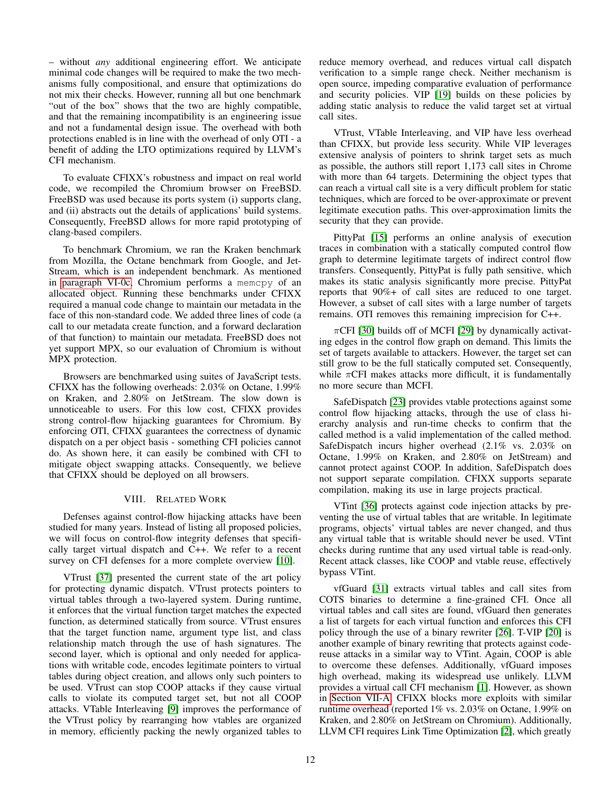– without *any* additional engineering effort. We anticipate minimal code changes will be required to make the two mechanisms fully compositional, and ensure that optimizations do not mix their checks. However, running all but one benchmark "out of the box" shows that the two are highly compatible, and that the remaining incompatibility is an engineering issue and not a fundamental design issue. The overhead with both protections enabled is in line with the overhead of only OTI - a benefit of adding the LTO optimizations required by LLVM's CFI mechanism.

To evaluate CFIXX's robustness and impact on real world code, we recompiled the Chromium browser on FreeBSD. FreeBSD was used because its ports system (i) supports clang, and (ii) abstracts out the details of applications' build systems. Consequently, FreeBSD allows for more rapid prototyping of clang-based compilers.

To benchmark Chromium, we ran the Kraken benchmark from Mozilla, the Octane benchmark from Google, and Jet-Stream, which is an independent benchmark. As mentioned in [paragraph VI-0c,](#page-8-1) Chromium performs a memcpy of an allocated object. Running these benchmarks under CFIXX required a manual code change to maintain our metadata in the face of this non-standard code. We added three lines of code (a call to our metadata create function, and a forward declaration of that function) to maintain our metadata. FreeBSD does not yet support MPX, so our evaluation of Chromium is without MPX protection.

Browsers are benchmarked using suites of JavaScript tests. CFIXX has the following overheads: 2.03% on Octane, 1.99% on Kraken, and 2.80% on JetStream. The slow down is unnoticeable to users. For this low cost, CFIXX provides strong control-flow hijacking guarantees for Chromium. By enforcing OTI, CFIXX guarantees the correctness of dynamic dispatch on a per object basis - something CFI policies cannot do. As shown here, it can easily be combined with CFI to mitigate object swapping attacks. Consequently, we believe that CFIXX should be deployed on all browsers.

# VIII. RELATED WORK

Defenses against control-flow hijacking attacks have been studied for many years. Instead of listing all proposed policies, we will focus on control-flow integrity defenses that specifically target virtual dispatch and C++. We refer to a recent survey on CFI defenses for a more complete overview [\[10\]](#page-12-5).

VTrust [\[37\]](#page-13-4) presented the current state of the art policy for protecting dynamic dispatch. VTrust protects pointers to virtual tables through a two-layered system. During runtime, it enforces that the virtual function target matches the expected function, as determined statically from source. VTrust ensures that the target function name, argument type list, and class relationship match through the use of hash signatures. The second layer, which is optional and only needed for applications with writable code, encodes legitimate pointers to virtual tables during object creation, and allows only such pointers to be used. VTrust can stop COOP attacks if they cause virtual calls to violate its computed target set, but not all COOP attacks. VTable Interleaving [\[9\]](#page-12-3) improves the performance of the VTrust policy by rearranging how vtables are organized in memory, efficiently packing the newly organized tables to reduce memory overhead, and reduces virtual call dispatch verification to a simple range check. Neither mechanism is open source, impeding comparative evaluation of performance and security policies. VIP [\[19\]](#page-13-11) builds on these policies by adding static analysis to reduce the valid target set at virtual call sites.

VTrust, VTable Interleaving, and VIP have less overhead than CFIXX, but provide less security. While VIP leverages extensive analysis of pointers to shrink target sets as much as possible, the authors still report 1,173 call sites in Chrome with more than 64 targets. Determining the object types that can reach a virtual call site is a very difficult problem for static techniques, which are forced to be over-approximate or prevent legitimate execution paths. This over-approximation limits the security that they can provide.

PittyPat [\[15\]](#page-12-10) performs an online analysis of execution traces in combination with a statically computed control flow graph to determine legitimate targets of indirect control flow transfers. Consequently, PittyPat is fully path sensitive, which makes its static analysis significantly more precise. PittyPat reports that 90%+ of call sites are reduced to one target. However, a subset of call sites with a large number of targets remains. OTI removes this remaining imprecision for C++.

 $\pi$ CFI [\[30\]](#page-13-12) builds off of MCFI [\[29\]](#page-13-3) by dynamically activating edges in the control flow graph on demand. This limits the set of targets available to attackers. However, the target set can still grow to be the full statically computed set. Consequently, while  $\pi$ CFI makes attacks more difficult, it is fundamentally no more secure than MCFI.

SafeDispatch [\[23\]](#page-13-13) provides vtable protections against some control flow hijacking attacks, through the use of class hierarchy analysis and run-time checks to confirm that the called method is a valid implementation of the called method. SafeDispatch incurs higher overhead (2.1% vs. 2.03% on Octane, 1.99% on Kraken, and 2.80% on JetStream) and cannot protect against COOP. In addition, SafeDispatch does not support separate compilation. CFIXX supports separate compilation, making its use in large projects practical.

VTint [\[36\]](#page-13-14) protects against code injection attacks by preventing the use of virtual tables that are writable. In legitimate programs, objects' virtual tables are never changed, and thus any virtual table that is writable should never be used. VTint checks during runtime that any used virtual table is read-only. Recent attack classes, like COOP and vtable reuse, effectively bypass VTint.

vfGuard [\[31\]](#page-13-15) extracts virtual tables and call sites from COTS binaries to determine a fine-grained CFI. Once all virtual tables and call sites are found, vfGuard then generates a list of targets for each virtual function and enforces this CFI policy through the use of a binary rewriter [\[26\]](#page-13-16). T-VIP [\[20\]](#page-13-17) is another example of binary rewriting that protects against codereuse attacks in a similar way to VTint. Again, COOP is able to overcome these defenses. Additionally, vfGuard imposes high overhead, making its widespread use unlikely. LLVM provides a virtual call CFI mechanism [\[1\]](#page-12-11). However, as shown in [Section VII-A,](#page-9-0) CFIXX blocks more exploits with similar runtime overhead (reported 1% vs. 2.03% on Octane, 1.99% on Kraken, and 2.80% on JetStream on Chromium). Additionally, LLVM CFI requires Link Time Optimization [\[2\]](#page-12-12), which greatly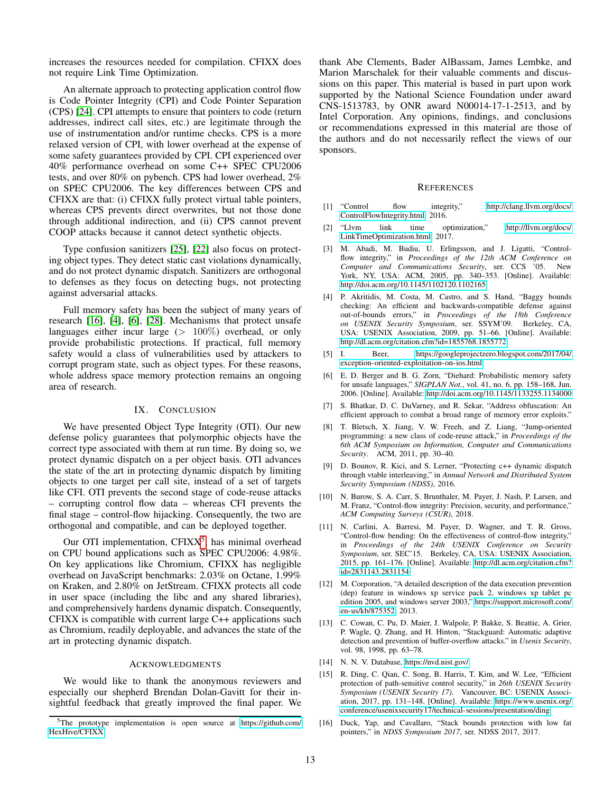increases the resources needed for compilation. CFIXX does not require Link Time Optimization.

An alternate approach to protecting application control flow is Code Pointer Integrity (CPI) and Code Pointer Separation (CPS) [\[24\]](#page-13-10). CPI attempts to ensure that pointers to code (return addresses, indirect call sites, etc.) are legitimate through the use of instrumentation and/or runtime checks. CPS is a more relaxed version of CPI, with lower overhead at the expense of some safety guarantees provided by CPI. CPI experienced over 40% performance overhead on some C++ SPEC CPU2006 tests, and over 80% on pybench. CPS had lower overhead, 2% on SPEC CPU2006. The key differences between CPS and CFIXX are that: (i) CFIXX fully protect virtual table pointers, whereas CPS prevents direct overwrites, but not those done through additional indirection, and (ii) CPS cannot prevent COOP attacks because it cannot detect synthetic objects.

Type confusion sanitizers [\[25\]](#page-13-18), [\[22\]](#page-13-19) also focus on protecting object types. They detect static cast violations dynamically, and do not protect dynamic dispatch. Sanitizers are orthogonal to defenses as they focus on detecting bugs, not protecting against adversarial attacks.

Full memory safety has been the subject of many years of research [\[16\]](#page-12-13), [\[4\]](#page-12-14), [\[6\]](#page-12-15), [\[28\]](#page-13-20). Mechanisms that protect unsafe languages either incur large  $(> 100\%)$  overhead, or only provide probabilistic protections. If practical, full memory safety would a class of vulnerabilities used by attackers to corrupt program state, such as object types. For these reasons, whole address space memory protection remains an ongoing area of research.

# IX. CONCLUSION

We have presented Object Type Integrity (OTI). Our new defense policy guarantees that polymorphic objects have the correct type associated with them at run time. By doing so, we protect dynamic dispatch on a per object basis. OTI advances the state of the art in protecting dynamic dispatch by limiting objects to one target per call site, instead of a set of targets like CFI. OTI prevents the second stage of code-reuse attacks – corrupting control flow data – whereas CFI prevents the final stage – control-flow hijacking. Consequently, the two are orthogonal and compatible, and can be deployed together.

Our OTI implementation, CFIXX<sup>[5](#page-12-16)</sup>, has minimal overhead on CPU bound applications such as SPEC CPU2006: 4.98%. On key applications like Chromium, CFIXX has negligible overhead on JavaScript benchmarks: 2.03% on Octane, 1.99% on Kraken, and 2.80% on JetStream. CFIXX protects all code in user space (including the libc and any shared libraries), and comprehensively hardens dynamic dispatch. Consequently, CFIXX is compatible with current large C++ applications such as Chromium, readily deployable, and advances the state of the art in protecting dynamic dispatch.

#### ACKNOWLEDGMENTS

We would like to thank the anonymous reviewers and especially our shepherd Brendan Dolan-Gavitt for their insightful feedback that greatly improved the final paper. We thank Abe Clements, Bader AlBassam, James Lembke, and Marion Marschalek for their valuable comments and discussions on this paper. This material is based in part upon work supported by the National Science Foundation under award CNS-1513783, by ONR award N00014-17-1-2513, and by Intel Corporation. Any opinions, findings, and conclusions or recommendations expressed in this material are those of the authors and do not necessarily reflect the views of our sponsors.

#### **REFERENCES**

- <span id="page-12-11"></span>[1] "Control flow integrity," [http://clang.llvm.org/docs/](http://clang.llvm.org/docs/ControlFlowIntegrity.html) [ControlFlowIntegrity.html,](http://clang.llvm.org/docs/ControlFlowIntegrity.html) 2016.
- <span id="page-12-12"></span>[2] "Llvm link time optimization," [http://llvm.org/docs/](http://llvm.org/docs/LinkTimeOptimization.html) [LinkTimeOptimization.html,](http://llvm.org/docs/LinkTimeOptimization.html) 2017.
- <span id="page-12-2"></span>[3] M. Abadi, M. Budiu, U. Erlingsson, and J. Ligatti, "Controlflow integrity," in *Proceedings of the 12th ACM Conference on Computer and Communications Security*, ser. CCS '05. New York, NY, USA: ACM, 2005, pp. 340–353. [Online]. Available: <http://doi.acm.org/10.1145/1102120.1102165>
- <span id="page-12-14"></span>[4] P. Akritidis, M. Costa, M. Castro, and S. Hand, "Baggy bounds checking: An efficient and backwards-compatible defense against out-of-bounds errors," in *Proceedings of the 18th Conference on USENIX Security Symposium*, ser. SSYM'09. Berkeley, CA, USA: USENIX Association, 2009, pp. 51–66. [Online]. Available: <http://dl.acm.org/citation.cfm?id=1855768.1855772>
- <span id="page-12-0"></span>[5] I. Beer, [https://googleprojectzero.blogspot.com/2017/04/](https://googleprojectzero.blogspot.com/2017/04/exception-oriented-exploitation-on-ios.html) [exception-oriented-exploitation-on-ios.html.](https://googleprojectzero.blogspot.com/2017/04/exception-oriented-exploitation-on-ios.html)
- <span id="page-12-15"></span>[6] E. D. Berger and B. G. Zorn, "Diehard: Probabilistic memory safety for unsafe languages," *SIGPLAN Not.*, vol. 41, no. 6, pp. 158–168, Jun. 2006. [Online]. Available:<http://doi.acm.org/10.1145/1133255.1134000>
- <span id="page-12-8"></span>[7] S. Bhatkar, D. C. DuVarney, and R. Sekar, "Address obfuscation: An efficient approach to combat a broad range of memory error exploits."
- <span id="page-12-1"></span>[8] T. Bletsch, X. Jiang, V. W. Freeh, and Z. Liang, "Jump-oriented programming: a new class of code-reuse attack," in *Proceedings of the 6th ACM Symposium on Information, Computer and Communications Security*. ACM, 2011, pp. 30–40.
- <span id="page-12-3"></span>[9] D. Bounov, R. Kici, and S. Lerner, "Protecting c++ dynamic dispatch through vtable interleaving," in *Annual Network and Distributed System Security Symposium (NDSS)*, 2016.
- <span id="page-12-5"></span>[10] N. Burow, S. A. Carr, S. Brunthaler, M. Payer, J. Nash, P. Larsen, and M. Franz, "Control-flow integrity: Precision, security, and performance," *ACM Computing Surveys (CSUR)*, 2018.
- <span id="page-12-4"></span>[11] N. Carlini, A. Barresi, M. Payer, D. Wagner, and T. R. Gross, "Control-flow bending: On the effectiveness of control-flow integrity," in *Proceedings of the 24th USENIX Conference on Security Symposium*, ser. SEC'15. Berkeley, CA, USA: USENIX Association, 2015, pp. 161–176. [Online]. Available: [http://dl.acm.org/citation.cfm?](http://dl.acm.org/citation.cfm?id=2831143.2831154) [id=2831143.2831154](http://dl.acm.org/citation.cfm?id=2831143.2831154)
- <span id="page-12-6"></span>[12] M. Corporation, "A detailed description of the data execution prevention (dep) feature in windows xp service pack 2, windows xp tablet pc edition 2005, and windows server 2003," [https://support.microsoft.com/](https://support.microsoft.com/en-us/kb/875352) [en-us/kb/875352,](https://support.microsoft.com/en-us/kb/875352) 2013.
- <span id="page-12-7"></span>[13] C. Cowan, C. Pu, D. Maier, J. Walpole, P. Bakke, S. Beattie, A. Grier, P. Wagle, Q. Zhang, and H. Hinton, "Stackguard: Automatic adaptive detection and prevention of buffer-overflow attacks." in *Usenix Security*, vol. 98, 1998, pp. 63–78.
- <span id="page-12-9"></span>[14] N. N. V. Database, [https://nvd.nist.gov/.](https://nvd.nist.gov/)
- <span id="page-12-10"></span>[15] R. Ding, C. Qian, C. Song, B. Harris, T. Kim, and W. Lee, "Efficient protection of path-sensitive control security," in *26th USENIX Security Symposium (USENIX Security 17)*. Vancouver, BC: USENIX Association, 2017, pp. 131–148. [Online]. Available: [https://www.usenix.org/](https://www.usenix.org/conference/usenixsecurity17/technical-sessions/presentation/ding) [conference/usenixsecurity17/technical-sessions/presentation/ding](https://www.usenix.org/conference/usenixsecurity17/technical-sessions/presentation/ding)
- <span id="page-12-13"></span>[16] Duck, Yap, and Cavallaro, "Stack bounds protection with low fat pointers," in *NDSS Symposium 2017*, ser. NDSS 2017, 2017.

<span id="page-12-16"></span><sup>5</sup>The prototype implementation is open source at [https://github.com/](https://github.com/HexHive/CFIXX) [HexHive/CFIXX.](https://github.com/HexHive/CFIXX)